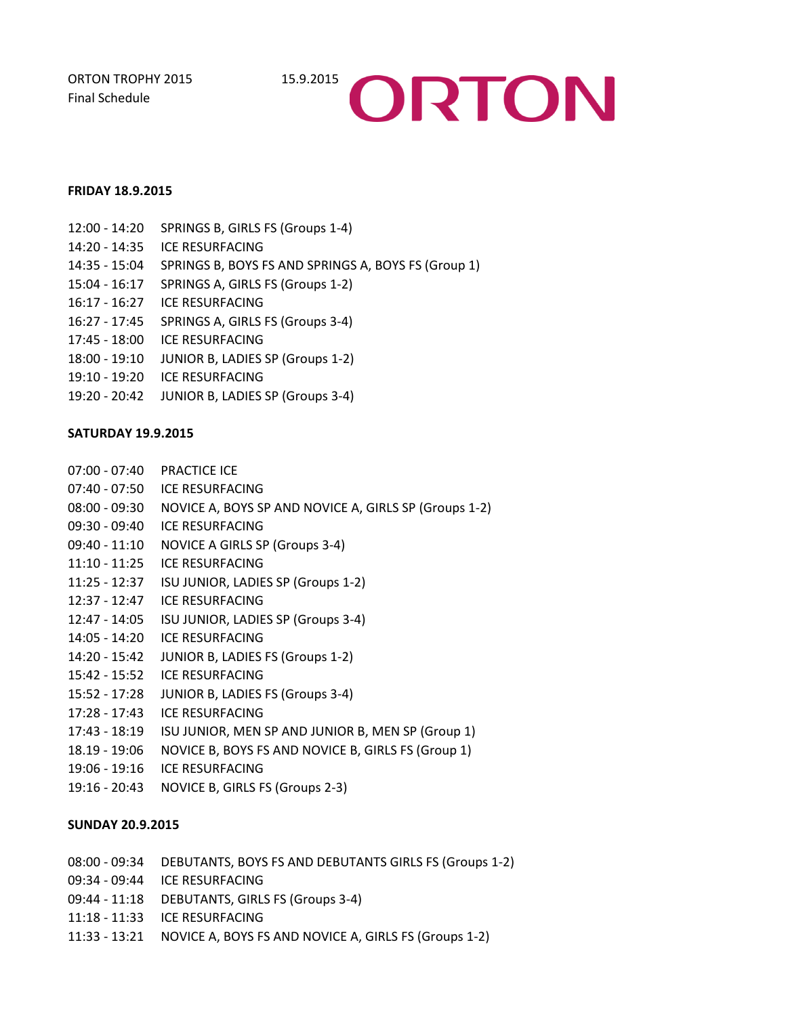ORTON TROPHY 2015 15.9.2015 Final Schedule



## **FRIDAY 18.9.2015**

| $12:00 - 14:20$ | SPRINGS B, GIRLS FS (Groups 1-4)                    |
|-----------------|-----------------------------------------------------|
| 14:20 - 14:35   | <b>ICE RESURFACING</b>                              |
| 14:35 - 15:04   | SPRINGS B, BOYS FS AND SPRINGS A, BOYS FS (Group 1) |
| $15:04 - 16:17$ | SPRINGS A, GIRLS FS (Groups 1-2)                    |
| $16:17 - 16:27$ | <b>ICE RESURFACING</b>                              |
| 16:27 - 17:45   | SPRINGS A, GIRLS FS (Groups 3-4)                    |
| $17:45 - 18:00$ | <b>ICE RESURFACING</b>                              |
| $18:00 - 19:10$ | <b>JUNIOR B, LADIES SP (Groups 1-2)</b>             |
| 19:10 - 19:20   | ICE RESURFACING                                     |
| 19:20 - 20:42   | JUNIOR B, LADIES SP (Groups 3-4)                    |
|                 |                                                     |

## **SATURDAY 19.9.2015**

| $07:00 - 07:40$ | <b>PRACTICE ICE</b>                                   |
|-----------------|-------------------------------------------------------|
| $07:40 - 07:50$ | ICE RESURFACING                                       |
| $08:00 - 09:30$ | NOVICE A, BOYS SP AND NOVICE A, GIRLS SP (Groups 1-2) |
| $09:30 - 09:40$ | ICE RESURFACING                                       |
| $09:40 - 11:10$ | <b>NOVICE A GIRLS SP (Groups 3-4)</b>                 |
| $11:10 - 11:25$ | <b>ICE RESURFACING</b>                                |
| $11:25 - 12:37$ | ISU JUNIOR, LADIES SP (Groups 1-2)                    |
| $12:37 - 12:47$ | ICE RESURFACING                                       |
| 12:47 - 14:05   | ISU JUNIOR, LADIES SP (Groups 3-4)                    |
| 14:05 - 14:20   | <b>ICE RESURFACING</b>                                |
| $14:20 - 15:42$ | JUNIOR B, LADIES FS (Groups 1-2)                      |
| $15:42 - 15:52$ | ICE RESURFACING                                       |
| 15:52 - 17:28   | JUNIOR B, LADIES FS (Groups 3-4)                      |
| $17:28 - 17:43$ | <b>ICE RESURFACING</b>                                |
| 17:43 - 18:19   | ISU JUNIOR, MEN SP AND JUNIOR B, MEN SP (Group 1)     |
| 18.19 - 19:06   | NOVICE B, BOYS FS AND NOVICE B, GIRLS FS (Group 1)    |
| $19:06 - 19:16$ | ICE RESURFACING                                       |
| $19:16 - 20:43$ | NOVICE B, GIRLS FS (Groups 2-3)                       |

## **SUNDAY 20.9.2015**

- 08:00 09:34 DEBUTANTS, BOYS FS AND DEBUTANTS GIRLS FS (Groups 1-2)
- 09:34 09:44 ICE RESURFACING
- 09:44 11:18 DEBUTANTS, GIRLS FS (Groups 3-4)
- 11:18 11:33 ICE RESURFACING
- 11:33 13:21 NOVICE A, BOYS FS AND NOVICE A, GIRLS FS (Groups 1-2)